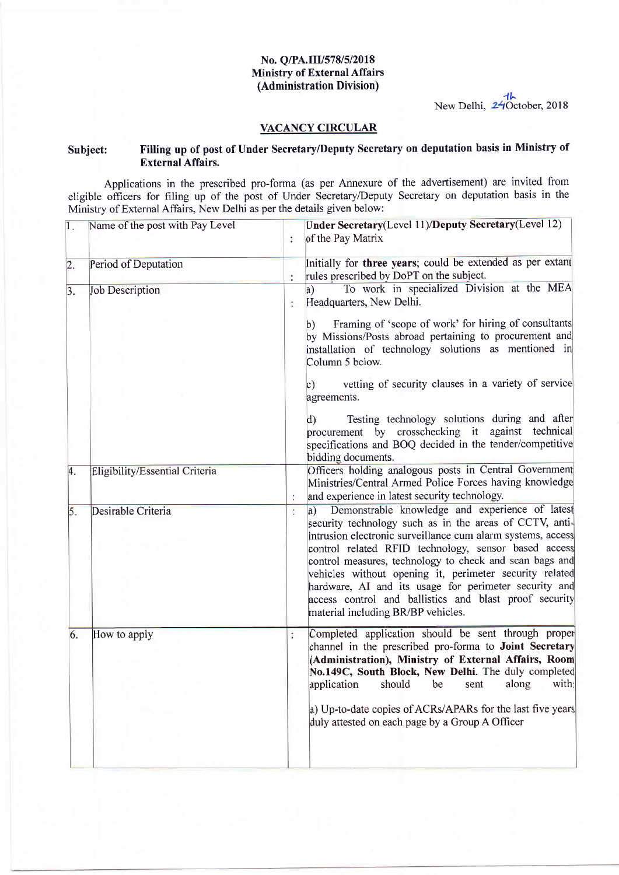## No. Q/PA.III/578/5/2018 Ministry of External Affairs (Administration Division)

New Delhi,  $\frac{1}{24}$ October, 2018

## VACANCY CIRCULAR

# Subject: Filting up of post of Under Secretary/Deputy Secretary on deputation basis in Ministry of External Affairs.

Applications in the prescribed pro-forma (as per Annexure of the advertisement) are invited from eligible offrcers for filing up of the post of Under Secretary/Deputy Secretary on deputation basis in the Ministry of Extemal Affairs, New Delhi as per the details given below:

| $\overline{1}$ . | Name of the post with Pay Level | $\ddot{\cdot}$ | Under Secretary(Level 11)/Deputy Secretary(Level 12)<br>of the Pay Matrix                                                                                                                                                                                                                                                                                                                                                                                                                                               |
|------------------|---------------------------------|----------------|-------------------------------------------------------------------------------------------------------------------------------------------------------------------------------------------------------------------------------------------------------------------------------------------------------------------------------------------------------------------------------------------------------------------------------------------------------------------------------------------------------------------------|
| 2.               | Period of Deputation            |                | Initially for three years; could be extended as per extant<br>rules prescribed by DoPT on the subject.                                                                                                                                                                                                                                                                                                                                                                                                                  |
| 3.               | <b>Job Description</b>          | ÷              | To work in specialized Division at the MEA<br>a)<br>Headquarters, New Delhi.                                                                                                                                                                                                                                                                                                                                                                                                                                            |
|                  |                                 |                | Framing of 'scope of work' for hiring of consultants<br>b).<br>by Missions/Posts abroad pertaining to procurement and<br>installation of technology solutions as mentioned in<br>Column 5 below.                                                                                                                                                                                                                                                                                                                        |
|                  |                                 |                | vetting of security clauses in a variety of service<br>$\circ$ )<br>agreements.                                                                                                                                                                                                                                                                                                                                                                                                                                         |
|                  |                                 |                | Testing technology solutions during and after<br>$\mathbf{d}$<br>procurement by crosschecking it against technical<br>specifications and BOQ decided in the tender/competitive<br>bidding documents.                                                                                                                                                                                                                                                                                                                    |
| 4.               | Eligibility/Essential Criteria  |                | Officers holding analogous posts in Central Government<br>Ministries/Central Armed Police Forces having knowledge<br>and experience in latest security technology.                                                                                                                                                                                                                                                                                                                                                      |
| 5.               | Desirable Criteria              | $\vdots$       | Demonstrable knowledge and experience of latest<br> a)<br>security technology such as in the areas of CCTV, anti-<br>intrusion electronic surveillance cum alarm systems, access<br>control related RFID technology, sensor based access<br>control measures, technology to check and scan bags and<br>vehicles without opening it, perimeter security related<br>hardware, AI and its usage for perimeter security and<br>access control and ballistics and blast proof security<br>material including BR/BP vehicles. |
| 6.               | How to apply                    |                | Completed application should be sent through proper<br>channel in the prescribed pro-forma to Joint Secretary<br>(Administration), Ministry of External Affairs, Room<br>No.149C, South Block, New Delhi. The duly completed<br>application should be sent along with:<br>a) Up-to-date copies of ACRs/APARs for the last five years<br>duly attested on each page by a Group A Officer                                                                                                                                 |
|                  |                                 |                |                                                                                                                                                                                                                                                                                                                                                                                                                                                                                                                         |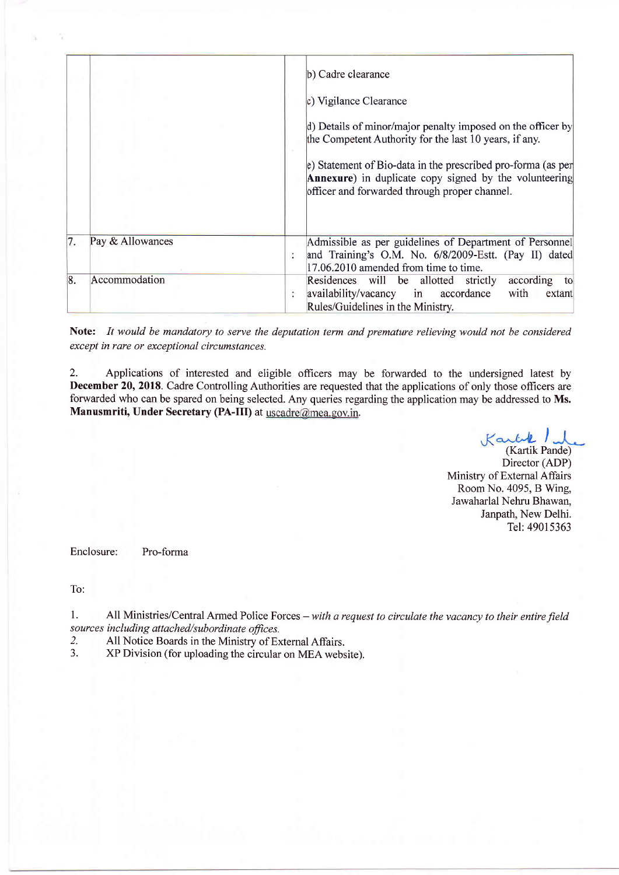|    |                  |    | b) Cadre clearance<br>c) Vigilance Clearance<br>d) Details of minor/major penalty imposed on the officer by<br>the Competent Authority for the last 10 years, if any.<br>e) Statement of Bio-data in the prescribed pro-forma (as per<br><b>Annexure</b> ) in duplicate copy signed by the volunteering<br>officer and forwarded through proper channel. |
|----|------------------|----|----------------------------------------------------------------------------------------------------------------------------------------------------------------------------------------------------------------------------------------------------------------------------------------------------------------------------------------------------------|
| 7. | Pay & Allowances | t. | Admissible as per guidelines of Department of Personnel<br>and Training's O.M. No. 6/8/2009-Estt. (Pay II) dated<br>17.06.2010 amended from time to time.                                                                                                                                                                                                |
| 8. | Accommodation    | ÷  | Residences will be allotted strictly<br>according to<br>availability/vacancy in accordance<br>with<br>extant<br>Rules/Guidelines in the Ministry.                                                                                                                                                                                                        |

Note: It would be mandatory to serve the deputation term and premature relieving would not be considered except in rare or exceptional circumstances.

2. Applications of interested and eligible officers may be forwarded to the undersigned latest by December 20, 2018. Cadre Controlling Authorities are requested that the applications of only those officers are forwarded who can be spared on being selected. Any queries regarding the application may be addressed to Ms. Manusmriti, Under Secretary (PA-III) at uscadre@mea.gov.in.

I

(Kartik Pande) Director (ADP) Ministry of Extemal Affairs RoomNo.4095, B Wing, Jawaharlal Nehru Bhawan, Janpath, New Delhi. Tel:49015363

Enclosure: Pro-forma

To:

1. All Ministries/Central Armed Police Forces – with a request to circulate the vacancy to their entire field sources including attached/subordinate offices.

2. All Notice Boards in the Ministry of External Affairs.<br>3. All Division (for uploading the circular on MEA webs

3. XP Division (for uploading the circular on MEA website).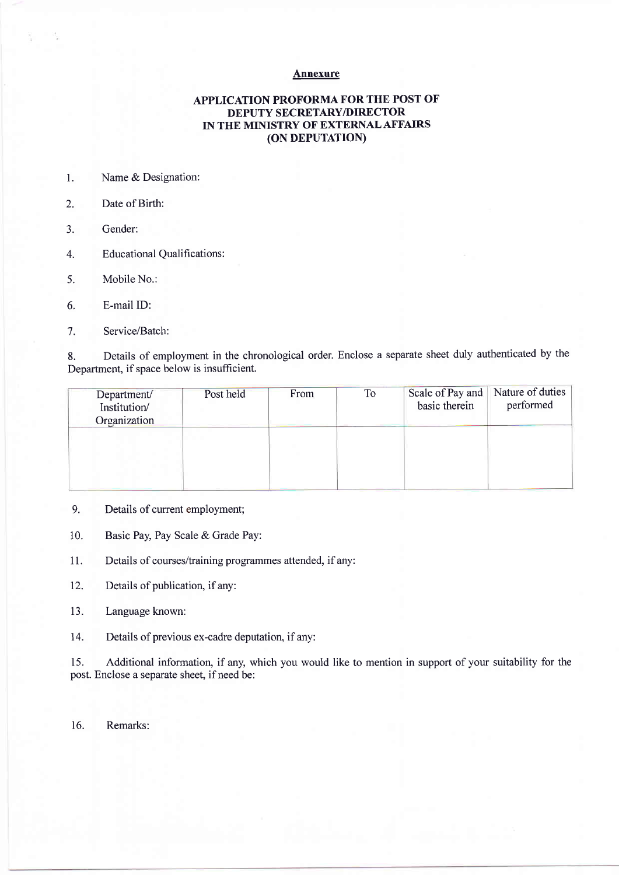#### Annexure

### APPLICATION PROFORMA FOR THE POST OF DEPUTY SECRETARY/DIRECTOR IN THE MINISTRY OF EXTERNALAFFAIRS (oN DEPUTATION)

- l. Name & Designation:
- 2. Date of Birth:
- 3. Gender:
- 4. Educational Qualifications:
- 5. Mobile No.:
- 6. E-mail ID:
- 7. Service/Batch:

8. Details of employment in the chronological order. Enclose a separate sheet duly authenticated by the Department, if space below is insufficient.

| Department/<br>Institution/<br>Organization | Post held | From | To | Scale of Pay and<br>basic therein | Nature of duties<br>performed |
|---------------------------------------------|-----------|------|----|-----------------------------------|-------------------------------|
|                                             |           |      |    |                                   |                               |

- 9. Details of current employment;
- 10. Basic Pay, Pay Scale & Grade Pay:
- 11. Details of courses/training programmes attended, if any:
- 12. Details of publication, if any:
- 13. Language known:
- 14. Details of previous ex-cadre deputation, if any:

15. Additional information, if any, which you would like to mention in support of your suitability for the post. Enclose a separate sheet, if need be:

16. Remarks: